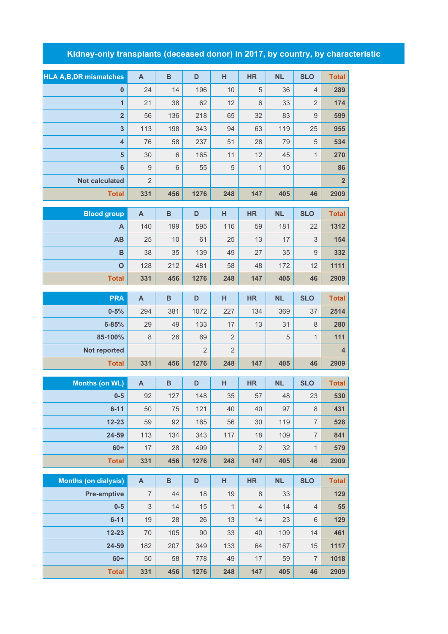## **Kidney-only transplants (deceased donor) in 2017, by country, by characteristic**

|                                | $\mathsf{A}$              | $\, {\bf B}$ | D              | н              | <b>HR</b>    | <b>NL</b> | <b>SLO</b>     | <b>Total</b>   |
|--------------------------------|---------------------------|--------------|----------------|----------------|--------------|-----------|----------------|----------------|
| <b>HLA A, B, DR mismatches</b> |                           |              |                |                |              |           |                |                |
| $\bf{0}$                       | 24                        | 14           | 196            | 10             | 5            | 36        | $\overline{4}$ | 289            |
| $\overline{1}$                 | 21                        | 38           | 62             | 12             | 6            | 33        | $\overline{2}$ | 174            |
| $\overline{\mathbf{2}}$        | 56                        | 136          | 218            | 65             | 32           | 83        | $\mathsf 9$    | 599            |
| 3                              | 113                       | 198          | 343            | 94             | 63           | 119       | 25             | 955            |
| $\overline{4}$                 | 76                        | 58           | 237            | 51             | 28           | 79        | 5              | 534            |
| $5\phantom{1}$                 | 30                        | $6\,$        | 165            | 11             | 12           | 45        | $\mathbf{1}$   | 270            |
| $6\phantom{1}$                 | $\mathsf{9}$              | $6\,$        | 55             | 5              | $\mathbf{1}$ | 10        |                | 86             |
| <b>Not calculated</b>          | $\overline{2}$            |              |                |                |              |           |                | $\overline{2}$ |
| <b>Total</b>                   | 331                       | 456          | 1276           | 248            | 147          | 405       | 46             | 2909           |
| <b>Blood group</b>             | $\mathsf{A}$              | $\, {\bf B}$ | D              | н              | <b>HR</b>    | <b>NL</b> | <b>SLO</b>     | <b>Total</b>   |
| A                              | 140                       | 199          | 595            | 116            | 59           | 181       | 22             | 1312           |
| AB                             | 25                        | 10           | 61             | 25             | 13           | 17        | 3              | 154            |
| в                              | 38                        | 35           | 139            | 49             | 27           | 35        | 9              | 332            |
| $\mathbf{o}$                   | 128                       | 212          | 481            | 58             | 48           | 172       | 12             | 1111           |
| <b>Total</b>                   | 331                       | 456          | 1276           | 248            | 147          | 405       | 46             | 2909           |
| <b>PRA</b>                     |                           | $\, {\bf B}$ | D              |                | <b>HR</b>    | <b>NL</b> | <b>SLO</b>     |                |
|                                | $\mathsf{A}$              |              |                | н              |              |           |                | <b>Total</b>   |
| $0 - 5%$                       | 294                       | 381<br>49    | 1072<br>133    | 227            | 134<br>13    | 369       | 37             | 2514           |
| $6 - 85%$                      | 29                        |              |                |                |              |           |                |                |
|                                |                           |              |                | 17             |              | 31        | 8              | 280            |
| 85-100%                        | 8                         | 26           | 69             | $\overline{2}$ |              | 5         | $\mathbf{1}$   | 111            |
| Not reported                   |                           |              | $\overline{2}$ | $\overline{2}$ |              |           |                | $\overline{4}$ |
| <b>Total</b>                   | 331                       | 456          | 1276           | 248            | 147          | 405       | 46             | 2909           |
| <b>Months (on WL)</b>          | $\mathsf{A}$              | B            | D              | H              | <b>HR</b>    | <b>NL</b> | <b>SLO</b>     | <b>Total</b>   |
| $0-5$                          | 92                        | 127          | 148            | 35             | 57           | 48        | 23             | 530            |
| $6 - 11$                       | 50                        | 75           | 121            | 40             | 40           | 97        | 8              | 431            |
| $12 - 23$                      | 59                        | 92           | 165            | 56             | 30           | 119       | $\overline{7}$ | 528            |
| 24-59                          | 113                       | 134          | 343            | 117            | 18           | 109       | $\overline{7}$ | 841            |
| $60+$                          | 17                        | 28           | 499            |                | $\sqrt{2}$   | 32        | $\mathbf{1}$   | 579            |
| <b>Total</b>                   | 331                       | 456          | 1276           | 248            | 147          | 405       | 46             | 2909           |
| <b>Months (on dialysis)</b>    | $\boldsymbol{\mathsf{A}}$ | $\, {\bf B}$ | $\mathsf D$    | H              | HR           | <b>NL</b> | <b>SLO</b>     | <b>Total</b>   |
|                                |                           |              |                |                |              |           |                |                |

| <b>MONTHS (ON GRIVSIS)</b> | $\mathbf{A}$   | D   | υ    | п   | пĸ.            | <b>NL</b> | ง∟∪            | i olal |
|----------------------------|----------------|-----|------|-----|----------------|-----------|----------------|--------|
| <b>Pre-emptive</b>         | $\overline{7}$ | 44  | 18   | 19  | 8              | 33        |                | 129    |
| $0-5$                      | 3              | 14  | 15   | 1   | $\overline{4}$ | 14        | $\overline{4}$ | 55     |
| $6 - 11$                   | 19             | 28  | 26   | 13  | 14             | 23        | 6              | 129    |
| $12 - 23$                  | 70             | 105 | 90   | 33  | 40             | 109       | 14             | 461    |
| 24-59                      | 182            | 207 | 349  | 133 | 64             | 167       | 15             | 1117   |
| $60+$                      | 50             | 58  | 778  | 49  | 17             | 59        | $\overline{7}$ | 1018   |
| <b>Total</b>               | 331            | 456 | 1276 | 248 | 147            | 405       | 46             | 2909   |
|                            |                |     |      |     |                |           |                |        |